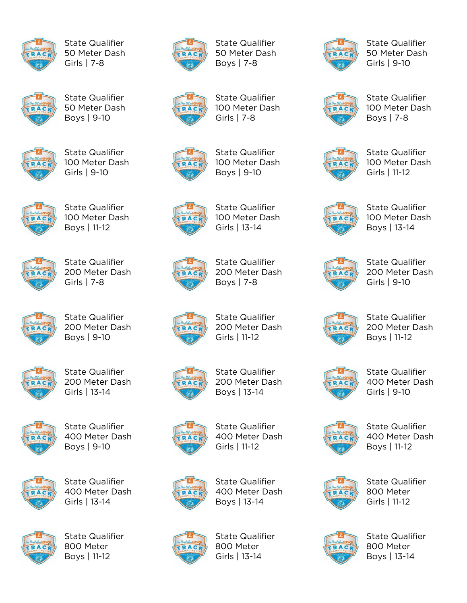

State Qualifier 50 Meter Dash Girls | 7-8



State Qualifier 50 Meter Dash Boys | 9-10



State Qualifier 100 Meter Dash Girls | 9-10



State Qualifier 100 Meter Dash Boys | 11-12



State Qualifier 200 Meter Dash Girls | 7-8



State Qualifier 200 Meter Dash Boys | 9-10



State Qualifier 200 Meter Dash Girls | 13-14



State Qualifier 400 Meter Dash Boys | 9-10



State Qualifier 400 Meter Dash Girls | 13-14



State Qualifier 800 Meter Boys | 11-12



State Qualifier 50 Meter Dash Boys | 7-8



State Qualifier 100 Meter Dash Girls | 7-8



State Qualifier 100 Meter Dash Boys | 9-10



State Qualifier 100 Meter Dash Girls | 13-14



State Qualifier 200 Meter Dash Boys | 7-8

State Qualifier 200 Meter Dash Girls | 11-12



State Qualifier 200 Meter Dash Boys | 13-14



State Qualifier 400 Meter Dash Girls | 11-12



State Qualifier 400 Meter Dash Boys | 13-14



State Qualifier 800 Meter Girls | 13-14



State Qualifier 50 Meter Dash Girls | 9-10



State Qualifier 100 Meter Dash Boys | 7-8



State Qualifier 100 Meter Dash Girls | 11-12



State Qualifier 100 Meter Dash Boys | 13-14



State Qualifier 200 Meter Dash Girls | 9-10



State Qualifier 200 Meter Dash Boys | 11-12



State Qualifier 400 Meter Dash Girls | 9-10



State Qualifier 400 Meter Dash Boys | 11-12



State Qualifier 800 Meter Girls | 11-12



State Qualifier 800 Meter Boys | 13-14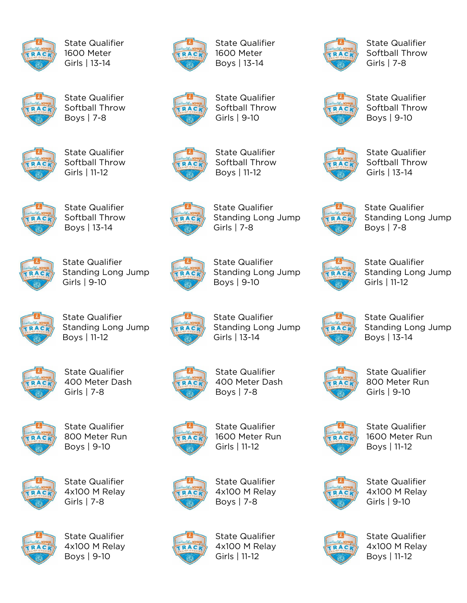

State Qualifier 1600 Meter Girls | 13-14



State Qualifier Softball Throw Boys | 7-8



State Qualifier Softball Throw Girls | 11-12



State Qualifier Softball Throw Boys | 13-14



State Qualifier Standing Long Jump Girls | 9-10



State Qualifier Standing Long Jump Boys | 11-12



State Qualifier 400 Meter Dash Girls | 7-8



State Qualifier 800 Meter Run Boys | 9-10



State Qualifier 4x100 M Relay Girls | 7-8



State Qualifier 4x100 M Relay Boys | 9-10



State Qualifier 1600 Meter Boys | 13-14



State Qualifier Softball Throw Girls | 9-10



State Qualifier Softball Throw Boys | 11-12



State Qualifier Standing Long Jump Girls | 7-8



Standing Long Jump

Girls | 13-14



State Qualifier 400 Meter Dash Boys | 7-8



State Qualifier 1600 Meter Run Girls | 11-12



State Qualifier 4x100 M Relay Boys | 7-8



State Qualifier 4x100 M Relay Girls | 11-12



State Qualifier Softball Throw Girls | 7-8



State Qualifier Softball Throw Boys | 9-10



State Qualifier Softball Throw Girls | 13-14



State Qualifier Standing Long Jump Boys | 7-8



State Qualifier Standing Long Jump Girls | 11-12



State Qualifier Standing Long Jump Boys | 13-14



State Qualifier 800 Meter Run Girls | 9-10



State Qualifier 1600 Meter Run Boys | 11-12



State Qualifier 4x100 M Relay Girls | 9-10



State Qualifier 4x100 M Relay Boys | 11-12



RAC

State Qualifier Standing Long Jump